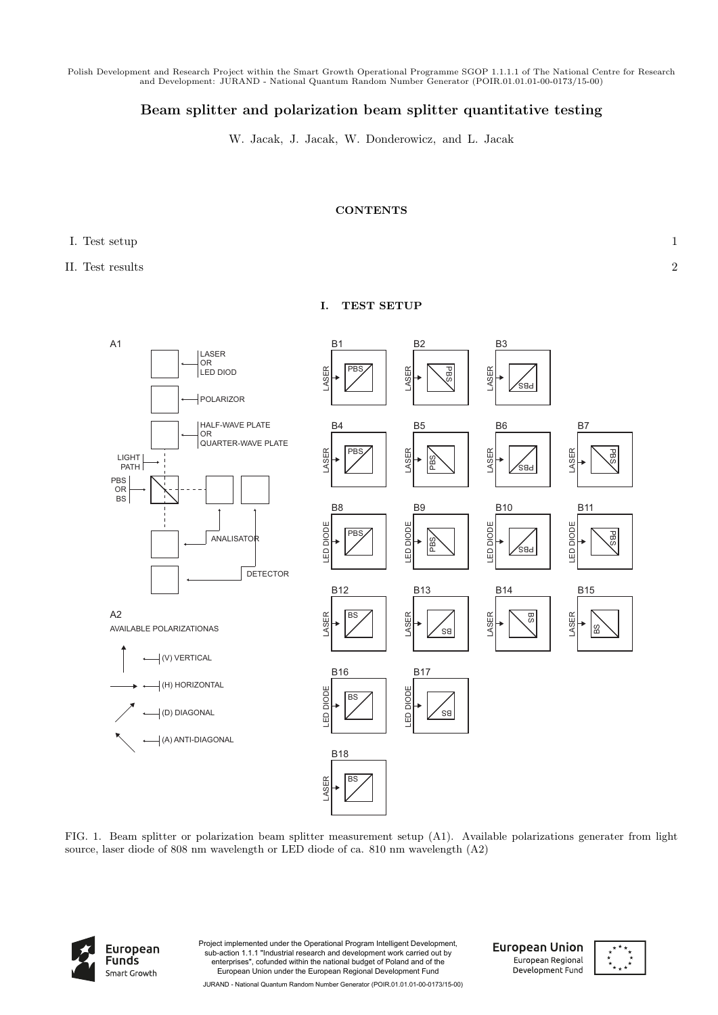Polish Development and Research Project within the Smart Growth Operational Programme SGOP 1.1.1.1 of The National Centre for Research and Development: JURAND - National Quantum Random Number Generator (POIR.01.01.01-00-0173/15-00)

## **Beam splitter and polarization beam splitter quantitative testing**

W. Jacak, J. Jacak, W. Donderowicz, and L. Jacak

## **CONTENTS**

**I. TEST SETUP**

## I. Test setup 1

II. Test results 2



FIG. 1. Beam splitter or polarization beam splitter measurement setup (A1). Available polarizations generater from light source, laser diode of 808 nm wavelength or LED diode of ca. 810 nm wavelength (A2)



Project implemented under the Operational Program Intelligent Development, sub-action 1.1.1 "Industrial research and development work carried out by enterprises", cofunded within the national budget of Poland and of the European Union under the European Regional Development Fund

**European Union** European Regional Development Fund

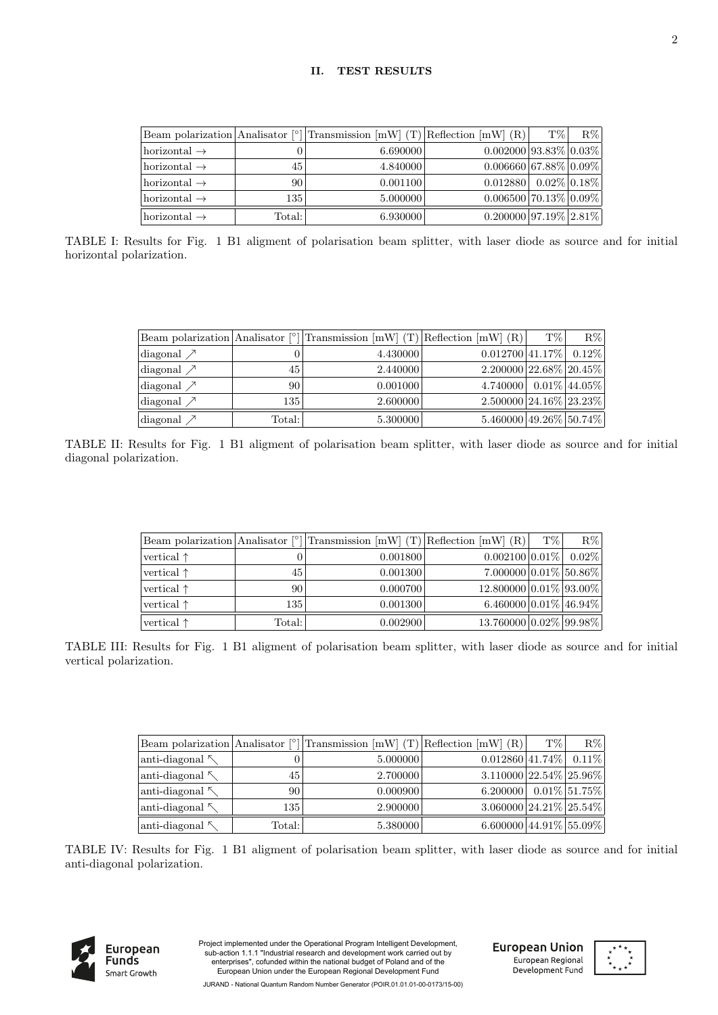|                          |                 | Beam polarization Analisator [ $^{\circ}$ ] Transmission [mW] (T) Reflection [mW] (R) |                                         | T\% | $R\%$ |
|--------------------------|-----------------|---------------------------------------------------------------------------------------|-----------------------------------------|-----|-------|
| horizontal $\rightarrow$ |                 | 6.690000                                                                              | $0.002000$ 93.83% 0.03%                 |     |       |
| horizontal $\rightarrow$ | 45              | 4.840000                                                                              | $0.006660$ 67.88% 0.09%                 |     |       |
| horizontal $\rightarrow$ | 90              | 0.001100                                                                              | $0.012880 \mid 0.02\% \mid 0.18\% \mid$ |     |       |
| horizontal $\rightarrow$ | 135             | 5.000000                                                                              | $0.006500$ 70.13% 0.09%                 |     |       |
| horizontal $\rightarrow$ | $\text{Total:}$ | 6.930000                                                                              | $0.200000 97.19\% 2.81\% $              |     |       |

TABLE I: Results for Fig. 1 B1 aligment of polarisation beam splitter, with laser diode as source and for initial horizontal polarization.

|                                    |        | Beam polarization Analisator [ $^{\circ}$ ] Transmission [mW] (T) Reflection [mW] (R) |                                    | T\% | $R\%$           |
|------------------------------------|--------|---------------------------------------------------------------------------------------|------------------------------------|-----|-----------------|
| diagonal $\nearrow$                |        | 4.430000                                                                              | $0.012700$ 41.17%                  |     | $0.12\%$        |
| diagonal $\nearrow$                | 45     | 2.440000                                                                              | $2.200000$   $22.68\%$   $20.45\%$ |     |                 |
| diagonal $\nearrow$                | 90     | 0.001000                                                                              | 4.740000                           |     | $0.01\%$ 44.05% |
| diagonal $\nearrow$                | 135    | 2.600000                                                                              | $2.500000$ 24.16\% 23.23\%         |     |                 |
| $\lceil \text{diagonal } \nearrow$ | Total: | 5.300000                                                                              | 5.460000 49.26% 50.74%             |     |                 |

TABLE II: Results for Fig. 1 B1 aligment of polarisation beam splitter, with laser diode as source and for initial diagonal polarization.

|                     |        | Beam polarization Analisator $\binom{1}{1}$ Transmission $\lfloor mW \rfloor$ (T) Reflection $\lfloor mW \rfloor$ (R) |                                 | $T\%$ | $R\%$ |
|---------------------|--------|-----------------------------------------------------------------------------------------------------------------------|---------------------------------|-------|-------|
| vertical $\uparrow$ |        | 0.001800                                                                                                              | $0.002100 0.01\% $ 0.02\%       |       |       |
| vertical $\uparrow$ | 45     | 0.001300                                                                                                              | $7.000000   0.01\%   50.86\%  $ |       |       |
| vertical $\uparrow$ | 90 l   | 0.000700                                                                                                              | 12.800000 0.01% 93.00%          |       |       |
| vertical $\uparrow$ | 135    | 0.001300                                                                                                              | $6.460000   0.01\%   46.94\%  $ |       |       |
| vertical $\uparrow$ | Total: | 0.002900                                                                                                              | 13.760000 0.02% 99.98%          |       |       |

TABLE III: Results for Fig. 1 B1 aligment of polarisation beam splitter, with laser diode as source and for initial vertical polarization.

| Beam polarization Analisator $\lceil \circ \rceil$ |        | Transmission $[mW]$ (T) Reflection $[mW]$ (R) |                            | T\% | $R\%$           |
|----------------------------------------------------|--------|-----------------------------------------------|----------------------------|-----|-----------------|
| anti-diagonal $\sim$                               |        | 5.000000                                      | $0.012860$ 41.74%          |     | $0.11\%$        |
| anti-diagonal $\sim$                               | 45     | 2.700000                                      | $3.110000$ 22.54\% 25.96\% |     |                 |
| anti-diagonal $\mathcal{K}$                        | 90     | 0.000900                                      | 6.200000                   |     | $0.01\%$ 51.75% |
| anti-diagonal $\sim$                               | 135    | 2.900000                                      | $3.060000$ 24.21% 25.54%   |     |                 |
| anti-diagonal $\kappa$                             | Total: | 5.380000                                      | $6.600000$ 44.91% 55.09%   |     |                 |

TABLE IV: Results for Fig. 1 B1 aligment of polarisation beam splitter, with laser diode as source and for initial anti-diagonal polarization.



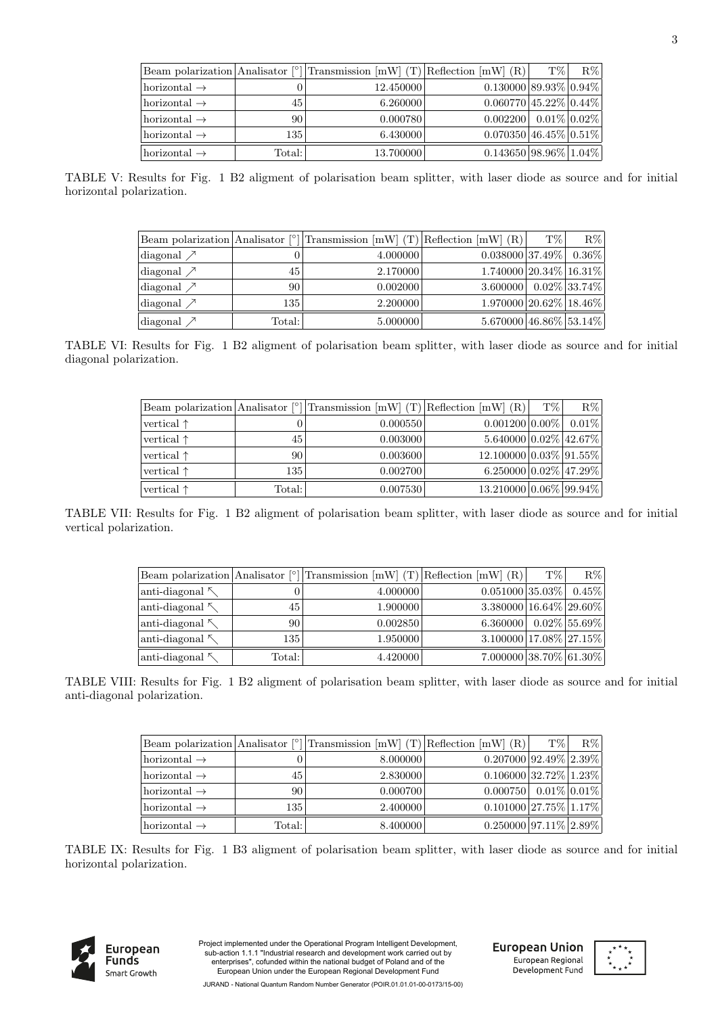| Beam polarization Analisator <sup>[°]</sup> |        | Transmission $[mW]$ (T) Reflection $[mW]$ (R) |                          | $T\%$ | $R\%$ |
|---------------------------------------------|--------|-----------------------------------------------|--------------------------|-------|-------|
| horizontal $\rightarrow$                    |        | 12.450000                                     | $0.130000$ 89.93% 0.94%  |       |       |
| horizontal $\rightarrow$                    | 45     | 6.260000                                      | $0.060770$ 45.22% 0.44%  |       |       |
| horizontal $\rightarrow$                    | 90     | 0.000780                                      | $0.002200$ 0.01\% 0.02\% |       |       |
| horizontal $\rightarrow$                    | 135    | 6.430000                                      | $0.070350$ 46.45% 0.51%  |       |       |
| horizontal $\rightarrow$                    | Total: | 13.700000                                     | $0.143650$ 98.96% 1.04%  |       |       |

TABLE V: Results for Fig. 1 B2 aligment of polarisation beam splitter, with laser diode as source and for initial horizontal polarization.

| Beam polarization Analisator <sup>[°]</sup> |        | Transmission $[mW]$ (T) Reflection $[mW]$ (R) |                        | T\% | $R\%$           |
|---------------------------------------------|--------|-----------------------------------------------|------------------------|-----|-----------------|
| diagonal $\nearrow$                         |        | 4.000000                                      | $0.038000 37.49\% $    |     | $0.36\%$        |
| diagonal $\nearrow$                         | 45     | 2.170000                                      | 1.740000 20.34% 16.31% |     |                 |
| diagonal $\nearrow$                         | 90     | 0.002000                                      | 3.600000               |     | $0.02\%$ 33.74% |
| diagonal $\nearrow$                         | 135    | 2.200000                                      | 1.970000 20.62% 18.46% |     |                 |
| diagonal $\nearrow$                         | Total: | 5.000000                                      | 5.670000 46.86% 53.14% |     |                 |

TABLE VI: Results for Fig. 1 B2 aligment of polarisation beam splitter, with laser diode as source and for initial diagonal polarization.

|                     |        | Beam polarization Analisator [ $^{\circ}$ ] Transmission [mW] (T) Reflection [mW] (R) |                                 | $T\%$ | $R\%$    |
|---------------------|--------|---------------------------------------------------------------------------------------|---------------------------------|-------|----------|
| vertical $\uparrow$ |        | 0.000550                                                                              | $0.001200   0.00\%  $           |       | $0.01\%$ |
| vertical $\uparrow$ | 45     | 0.003000                                                                              | $5.640000   0.02\%   42.67\%  $ |       |          |
| vertical $\uparrow$ | 90     | 0.003600                                                                              | 12.100000 0.03% 91.55%          |       |          |
| vertical $\uparrow$ | 135    | 0.002700                                                                              | $6.250000   0.02\%   47.29\%  $ |       |          |
| vertical $\uparrow$ | Total: | 0.007530                                                                              | 13.210000 0.06% 99.94%          |       |          |

TABLE VII: Results for Fig. 1 B2 aligment of polarisation beam splitter, with laser diode as source and for initial vertical polarization.

| Beam polarization Analisator <sup>[°]</sup> |        | Transmission $[mW]$ (T) Reflection $[mW]$ (R) |                                           | T% | $R\%$           |
|---------------------------------------------|--------|-----------------------------------------------|-------------------------------------------|----|-----------------|
| anti-diagonal $\sim$                        |        | 4.000000                                      | $0.051000$  35.03%                        |    | $0.45\%$        |
| anti-diagonal $\sim$                        | 45     | 1.900000                                      | $3.380000 \mid 16.64\% \mid 29.60\% \mid$ |    |                 |
| anti-diagonal $\kappa$                      | 90     | 0.002850                                      | 6.360000                                  |    | $0.02\%$ 55.69% |
| anti-diagonal                               | 135    | 1.950000                                      | $3.100000$   17.08%   27.15%              |    |                 |
| anti-diagonal $\sim$                        | Total: | 4.420000                                      | $7.000000$ 38.70% 61.30%                  |    |                 |

TABLE VIII: Results for Fig. 1 B2 aligment of polarisation beam splitter, with laser diode as source and for initial anti-diagonal polarization.

|                           |        | Beam polarization Analisator $\lceil \frac{\circ}{\right }$ Transmission $\lceil mW \rceil$ (T) Reflection $\lceil mW \rceil$ (R) |                              | $T\%$ | $R\%$ |
|---------------------------|--------|-----------------------------------------------------------------------------------------------------------------------------------|------------------------------|-------|-------|
| horizontal $\rightarrow$  |        | 8.000000                                                                                                                          | $0.207000 92.49\% 2.39\% $   |       |       |
| $ horizontal \rightarrow$ | 45     | 2.830000                                                                                                                          | $0.106000$ 32.72% 1.23%      |       |       |
| horizontal $\rightarrow$  | 90     | 0.000700                                                                                                                          | $0.000750$ $0.01\%$ $0.01\%$ |       |       |
| horizontal $\rightarrow$  | 135    | 2.400000                                                                                                                          | $0.101000$ 27.75% 1.17%      |       |       |
| $ horizontal \rightarrow$ | Total: | 8.400000                                                                                                                          | $0.250000 97.11\% 2.89\% $   |       |       |

TABLE IX: Results for Fig. 1 B3 aligment of polarisation beam splitter, with laser diode as source and for initial horizontal polarization.



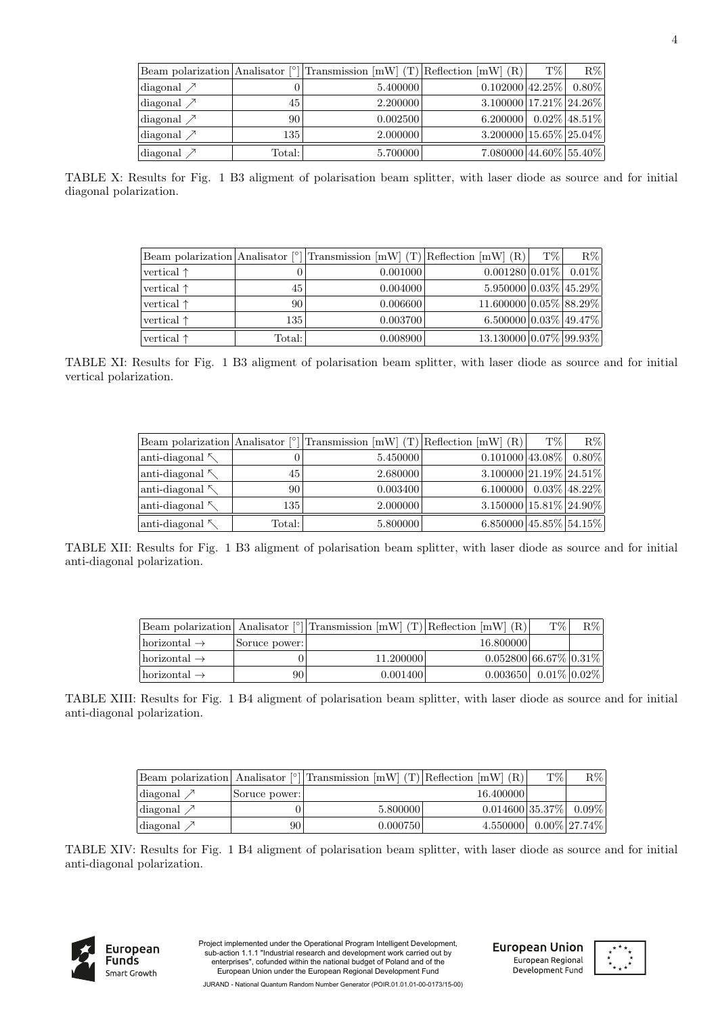|                     |        | Beam polarization Analisator $\lceil \circ \rceil$ Transmission $\lceil mW \rceil$ (T) Reflection $\lceil mW \rceil$ (R) |                            | $T\%$ | $R\%$           |
|---------------------|--------|--------------------------------------------------------------------------------------------------------------------------|----------------------------|-------|-----------------|
| diagonal $\nearrow$ |        | 5.400000                                                                                                                 | $0.102000$ 42.25% $0.80\%$ |       |                 |
| diagonal $\nearrow$ | 45     | 2.200000                                                                                                                 | $3.100000$ 17.21\% 24.26\% |       |                 |
| diagonal $\nearrow$ | 90     | 0.002500                                                                                                                 | 6.200000                   |       | $0.02\%$ 48.51% |
| diagonal $\nearrow$ | 135    | 2.000000                                                                                                                 | $3.200000$ 15.65% 25.04%   |       |                 |
| diagonal $\nearrow$ | Total: | 5.700000                                                                                                                 | $7.080000$ 44.60% 55.40%   |       |                 |

TABLE X: Results for Fig. 1 B3 aligment of polarisation beam splitter, with laser diode as source and for initial diagonal polarization.

|                     |                 | Beam polarization Analisator [ $^{\circ}$ ] Transmission [mW] (T) Reflection [mW] (R) |                                 | $T\%$ | $R\%$ |
|---------------------|-----------------|---------------------------------------------------------------------------------------|---------------------------------|-------|-------|
| vertical $\uparrow$ |                 | 0.001000                                                                              | $0.001280 0.01\% $ 0.01\%       |       |       |
| vertical $\uparrow$ | 45              | 0.004000                                                                              | $5.950000   0.03\%   45.29\%  $ |       |       |
| vertical $\uparrow$ | 90 <sub>1</sub> | 0.006600                                                                              | 11.600000 0.05% 88.29%          |       |       |
| vertical $\uparrow$ | 135             | 0.003700                                                                              | $6.500000 0.03\% 49.47\% $      |       |       |
| vertical $\uparrow$ | Total:          | 0.008900                                                                              | 13.130000 0.07% 99.93%          |       |       |

TABLE XI: Results for Fig. 1 B3 aligment of polarisation beam splitter, with laser diode as source and for initial vertical polarization.

|                        |        | Beam polarization Analisator $\lceil \circ \rceil$ Transmission $\lceil mW \rceil$ (T) Reflection $\lceil mW \rceil$ (R) |                                           | T% | $R\%$           |
|------------------------|--------|--------------------------------------------------------------------------------------------------------------------------|-------------------------------------------|----|-----------------|
| anti-diagonal $\kappa$ |        | 5.450000                                                                                                                 | $0.101000$ 43.08%                         |    | $0.80\%$        |
| anti-diagonal $\kappa$ | 45     | 2.680000                                                                                                                 | $3.100000$ 21.19% 24.51%                  |    |                 |
| anti-diagonal $\sim$   | 90     | 0.003400                                                                                                                 | 6.100000                                  |    | $0.03\%$ 48.22% |
| anti-diagonal $\kappa$ | 135    | 2.000000                                                                                                                 | $3.150000 \mid 15.81\% \mid 24.90\% \mid$ |    |                 |
| anti-diagonal $\sim$   | Total: | 5.800000                                                                                                                 | $6.850000$ 45.85% 54.15%                  |    |                 |

TABLE XII: Results for Fig. 1 B3 aligment of polarisation beam splitter, with laser diode as source and for initial anti-diagonal polarization.

|                           |               | Beam polarization Analisator $\lceil \circ \rceil$ Transmission $\lceil mW \rceil$ (T) Reflection $\lceil mW \rceil$ (R) |                                                                                                                                                                                                                              | T\% | $R\% $ |
|---------------------------|---------------|--------------------------------------------------------------------------------------------------------------------------|------------------------------------------------------------------------------------------------------------------------------------------------------------------------------------------------------------------------------|-----|--------|
| $ horizontal \rightarrow$ | Soruce power: |                                                                                                                          | 16.800000                                                                                                                                                                                                                    |     |        |
| $ horizontal \rightarrow$ |               | 11.200000                                                                                                                | $0.052800 66.67\% 0.31\% $                                                                                                                                                                                                   |     |        |
| $ horizontal \rightarrow$ | 90            | 0.001400                                                                                                                 | $0.003650$ 0.01\% 0.02\% 0.02\% 0.02\% 0.02\% 0.02\% 0.02\% 0.02\% 0.02\% 0.02\% 0.02\% 0.02\% 0.02\% 0.02\% 0.02\% 0.02\% 0.02\% 0.02\% 0.02\% 0.02\% 0.02\% 0.02\% 0.02\% 0.02\% 0.02\% 0.02\% 0.02\% 0.02\% 0.02\% 0.02\% |     |        |

TABLE XIII: Results for Fig. 1 B4 aligment of polarisation beam splitter, with laser diode as source and for initial anti-diagonal polarization.

|                     |               | Beam polarization Analisator $\lceil \circ \rceil$ Transmission $\lceil mW \rceil$ (T) Reflection $\lceil mW \rceil$ (R) |                                          | T\% | $R\%$ |
|---------------------|---------------|--------------------------------------------------------------------------------------------------------------------------|------------------------------------------|-----|-------|
| diagonal $\nearrow$ | Soruce power: |                                                                                                                          | 16.400000                                |     |       |
| diagonal $\nearrow$ |               | 5.800000                                                                                                                 | $0.014600 35.37\% 0.09\% $               |     |       |
| diagonal $\nearrow$ | 90            | 0.000750                                                                                                                 | $4.550000 \mid 0.00\% \mid 27.74\% \mid$ |     |       |

TABLE XIV: Results for Fig. 1 B4 aligment of polarisation beam splitter, with laser diode as source and for initial anti-diagonal polarization.



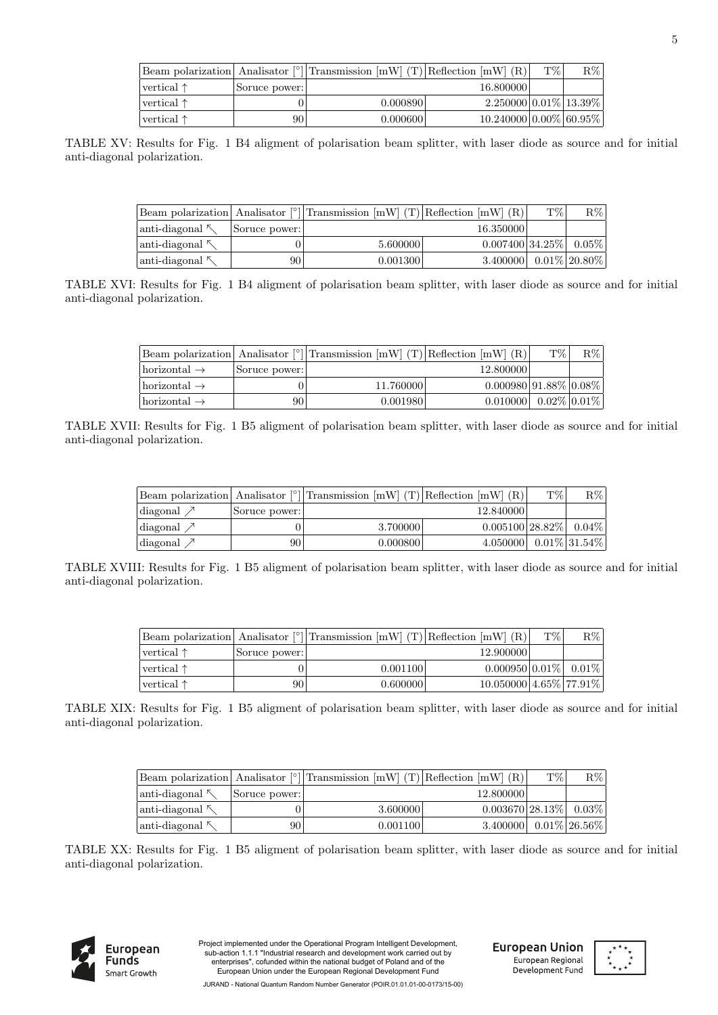|                     |               | Beam polarization Analisator [ $^{\circ}$ ] Transmission [mW] (T) Reflection [mW] (R) |                             | T\% | $R\%$ |
|---------------------|---------------|---------------------------------------------------------------------------------------|-----------------------------|-----|-------|
| $vertical \uparrow$ | Soruce power: |                                                                                       | 16.800000                   |     |       |
| $vertical \uparrow$ |               | 0.000890                                                                              | $2.250000 0.01\% 13.39\% $  |     |       |
| $vertical \uparrow$ | 90            | 0.000600                                                                              | $10.240000 0.00\% 60.95\% $ |     |       |

TABLE XV: Results for Fig. 1 B4 aligment of polarisation beam splitter, with laser diode as source and for initial anti-diagonal polarization.

|                        |               | Beam polarization Analisator $\lceil \circ \rceil$ Transmission $\lceil mW \rceil$ (T) Reflection $\lceil mW \rceil$ (R) |                                          | T\% | $R\%$ |
|------------------------|---------------|--------------------------------------------------------------------------------------------------------------------------|------------------------------------------|-----|-------|
| anti-diagonal $\sim$   | Soruce power: |                                                                                                                          | 16.350000                                |     |       |
| anti-diagonal $\kappa$ |               | 5.600000                                                                                                                 | $0.007400$  34.25%  0.05%                |     |       |
| anti-diagonal $\kappa$ | 90            | 0.001300                                                                                                                 | 3.400000 $\mid 0.01\% \mid 20.80\% \mid$ |     |       |

TABLE XVI: Results for Fig. 1 B4 aligment of polarisation beam splitter, with laser diode as source and for initial anti-diagonal polarization.

|                                 |               | Beam polarization Analisator $\lceil \circ \rceil$ Transmission $\lceil mW \rceil$ (T) Reflection $\lceil mW \rceil$ (R) |                          | T\% | $R\% $ |
|---------------------------------|---------------|--------------------------------------------------------------------------------------------------------------------------|--------------------------|-----|--------|
| $\text{horizontal} \rightarrow$ | Soruce power: |                                                                                                                          | 12.800000                |     |        |
| $\text{horizontal} \rightarrow$ |               | 11.760000                                                                                                                | $0.000980$  91.88% 0.08% |     |        |
| $\text{horizontal} \rightarrow$ | 90 I          | 0.001980                                                                                                                 | $0.010000$ 0.02\% 0.01\% |     |        |

TABLE XVII: Results for Fig. 1 B5 aligment of polarisation beam splitter, with laser diode as source and for initial anti-diagonal polarization.

|                     |               | Beam polarization   Analisator $\lceil \circ \rceil$   Transmission $\lceil mW \rceil$ (T)   Reflection $\lceil mW \rceil$ | (R)                       | T% | $R\%$            |
|---------------------|---------------|----------------------------------------------------------------------------------------------------------------------------|---------------------------|----|------------------|
| diagonal $\nearrow$ | Soruce power: |                                                                                                                            | 12.840000                 |    |                  |
| diagonal $\nearrow$ |               | 3.700000                                                                                                                   | $0.005100$  28.82%  0.04% |    |                  |
| diagonal $\nearrow$ | 90            | 0.000800                                                                                                                   | 4.050000                  |    | $0.01\%$ 31.54\% |

TABLE XVIII: Results for Fig. 1 B5 aligment of polarisation beam splitter, with laser diode as source and for initial anti-diagonal polarization.

|                     |               | Beam polarization Analisator $\binom{°}{1}$ Transmission $\lfloor mW \rfloor$ (T) Reflection $\lfloor mW \rfloor$ (R) |                                      | T% | $\rm R\%$ |
|---------------------|---------------|-----------------------------------------------------------------------------------------------------------------------|--------------------------------------|----|-----------|
| vertical $\uparrow$ | Soruce power: |                                                                                                                       | 12.900000                            |    |           |
| $vertical \uparrow$ |               | 0.001100                                                                                                              | $0.000950 0.01\% $ 0.01\%            |    |           |
| vertical $\uparrow$ | 90            | 0.600000                                                                                                              | $10.050000 \mid 4.65\% \mid 77.91\%$ |    |           |

TABLE XIX: Results for Fig. 1 B5 aligment of polarisation beam splitter, with laser diode as source and for initial anti-diagonal polarization.

|                        |               | Beam polarization Analisator $\lceil \circ \rceil$ Transmission $\lceil mW \rceil$ (T) Reflection $\lceil mW \rceil$ (R) |                                          | T\% | $R\%$ |
|------------------------|---------------|--------------------------------------------------------------------------------------------------------------------------|------------------------------------------|-----|-------|
| anti-diagonal $\kappa$ | Soruce power: |                                                                                                                          | 12.800000                                |     |       |
| anti-diagonal $\kappa$ |               | 3.600000                                                                                                                 | $0.003670$  28.13%  0.03%                |     |       |
| anti-diagonal $\kappa$ | 90            | 0.001100                                                                                                                 | $3.400000 \mid 0.01\% \mid 26.56\% \mid$ |     |       |

TABLE XX: Results for Fig. 1 B5 aligment of polarisation beam splitter, with laser diode as source and for initial anti-diagonal polarization.



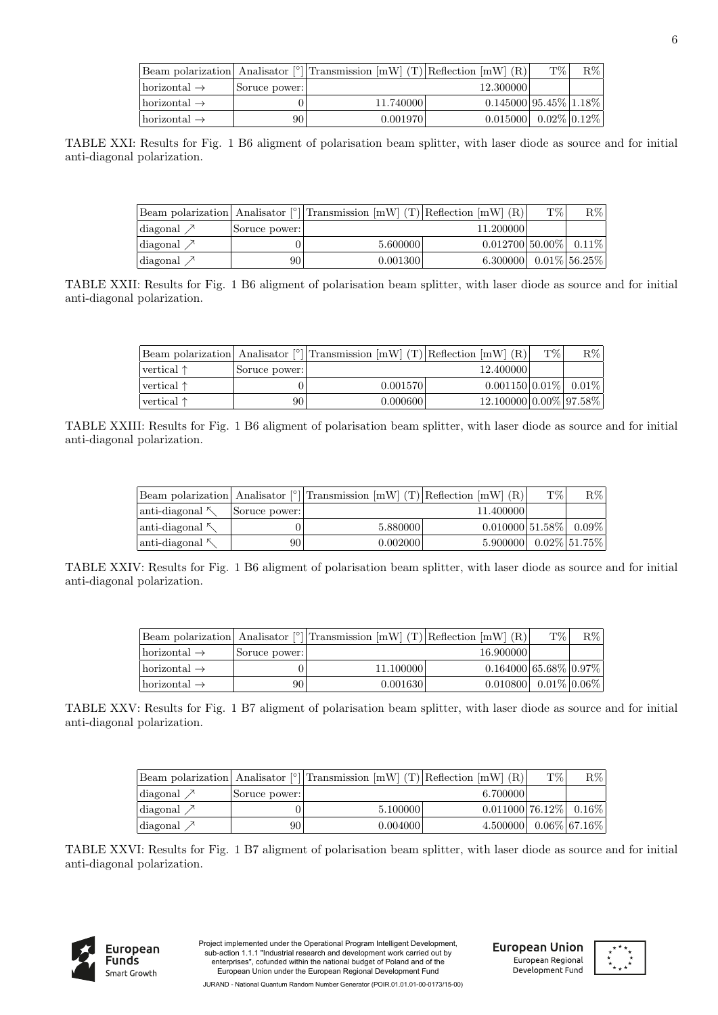|                                   |               | Beam polarization Analisator $\lceil \circ \rceil$ Transmission $\lceil mW \rceil$ (T) Reflection $\lceil mW \rceil$ (R) |                                  | T\% | $R\% $ |
|-----------------------------------|---------------|--------------------------------------------------------------------------------------------------------------------------|----------------------------------|-----|--------|
| $\alpha$ horizontal $\rightarrow$ | Soruce power: |                                                                                                                          | 12.300000                        |     |        |
| $\lambda \to$                     |               | 11.740000                                                                                                                | $0.145000 95.45\% 1.18\% $       |     |        |
| $\lambda \to$                     | 90            | 0.001970                                                                                                                 | $0.015000$   $0.02\%$   $0.12\%$ |     |        |

TABLE XXI: Results for Fig. 1 B6 aligment of polarisation beam splitter, with laser diode as source and for initial anti-diagonal polarization.

|                     |               | Beam polarization Analisator [ $^{\circ}$ ] Transmission [mW] (T) Reflection [mW] (R) |                            | T\% | $R\%$           |
|---------------------|---------------|---------------------------------------------------------------------------------------|----------------------------|-----|-----------------|
| diagonal $\nearrow$ | Soruce power: |                                                                                       | 11.200000                  |     |                 |
| diagonal $\nearrow$ |               | 5.600000                                                                              | $0.012700 50.00\% 0.11\% $ |     |                 |
| diagonal $\nearrow$ | 90-           | 0.001300                                                                              | 6.300000                   |     | $0.01\%$ 56.25% |

TABLE XXII: Results for Fig. 1 B6 aligment of polarisation beam splitter, with laser diode as source and for initial anti-diagonal polarization.

|                     |               | Beam polarization Analisator $\lceil \frac{1}{2} \rceil$ Transmission $\lceil mW \rceil$ (T) Reflection $\lceil mW \rceil$ (R) |                             | T\% | $R\%$ |
|---------------------|---------------|--------------------------------------------------------------------------------------------------------------------------------|-----------------------------|-----|-------|
| $vertical \uparrow$ | Soruce power: |                                                                                                                                | 12.400000                   |     |       |
| $vertical \uparrow$ |               | 0.001570                                                                                                                       | $0.001150 0.01\% $ 0.01\%   |     |       |
| $vertical \uparrow$ | 90 I          | 0.000600                                                                                                                       | $12.100000 0.00\% 97.58\% $ |     |       |

TABLE XXIII: Results for Fig. 1 B6 aligment of polarisation beam splitter, with laser diode as source and for initial anti-diagonal polarization.

|                      |               | Beam polarization Analisator [°  Transmission [mW] (T) Reflection [mW] (R) |                                          | T\% | $R\%$ |
|----------------------|---------------|----------------------------------------------------------------------------|------------------------------------------|-----|-------|
| anti-diagonal $\sim$ | Soruce power: |                                                                            | 11.400000                                |     |       |
| anti-diagonal $\sim$ |               | 5.880000                                                                   | $0.010000 51.58\% 0.09\% $               |     |       |
| anti-diagonal $\sim$ | 90            | 0.002000                                                                   | $5.900000 \mid 0.02\% \mid 51.75\% \mid$ |     |       |

TABLE XXIV: Results for Fig. 1 B6 aligment of polarisation beam splitter, with laser diode as source and for initial anti-diagonal polarization.

|                           |               | Beam polarization  Analisator [ $^{\circ}$ ] Transmission [mW] (T)  Reflection [mW] (R) |                              | T\% | $R\%$ |
|---------------------------|---------------|-----------------------------------------------------------------------------------------|------------------------------|-----|-------|
| $ horizontal \rightarrow$ | Soruce power: |                                                                                         | 16.900000                    |     |       |
| $ horizontal \rightarrow$ |               | 11.100000                                                                               | $0.164000 65.68\% 0.97\%$    |     |       |
| $ horizontal \rightarrow$ | 90            | 0.001630                                                                                | $0.010800   0.01\%   0.06\%$ |     |       |

TABLE XXV: Results for Fig. 1 B7 aligment of polarisation beam splitter, with laser diode as source and for initial anti-diagonal polarization.

|                     |               | Beam polarization Analisator $\lceil \circ \rceil$ Transmission $\lceil mW \rceil$ (T) Reflection $\lceil mW \rceil$ (R) |                            | T\% | R%              |
|---------------------|---------------|--------------------------------------------------------------------------------------------------------------------------|----------------------------|-----|-----------------|
| diagonal $\nearrow$ | Soruce power: |                                                                                                                          | 6.700000                   |     |                 |
| diagonal $\nearrow$ |               | 5.100000                                                                                                                 | $0.011000$ 76.12% $0.16\%$ |     |                 |
| diagonal $\nearrow$ | 90            | 0.004000                                                                                                                 | 4.500000                   |     | $0.06\%$ 67.16% |

TABLE XXVI: Results for Fig. 1 B7 aligment of polarisation beam splitter, with laser diode as source and for initial anti-diagonal polarization.



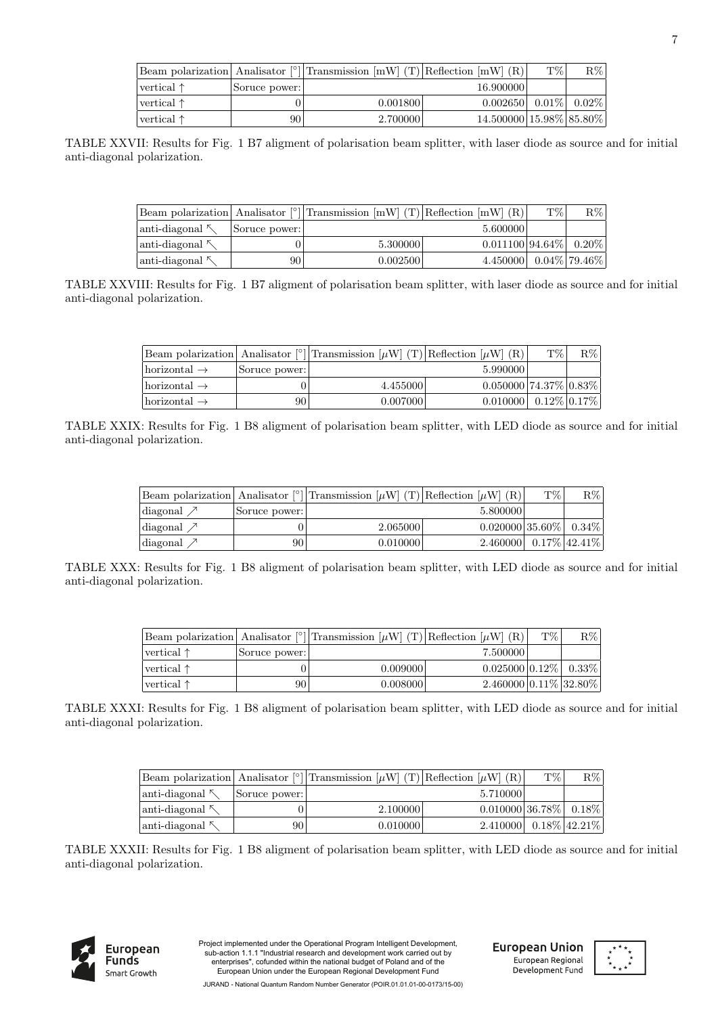|                     |               | Beam polarization Analisator $\lceil \frac{1}{2} \rceil$ Transmission $\lceil mW \rceil$ (T) Reflection $\lceil mW \rceil$ (R) |                                                                                                                                                                                                                              | T\% | $R\%$ |
|---------------------|---------------|--------------------------------------------------------------------------------------------------------------------------------|------------------------------------------------------------------------------------------------------------------------------------------------------------------------------------------------------------------------------|-----|-------|
| vertical $\uparrow$ | Soruce power: |                                                                                                                                | 16.900000                                                                                                                                                                                                                    |     |       |
| vertical $\uparrow$ |               | 0.001800                                                                                                                       | $0.002650$ 0.01\% 0.02\% 0.02\% 0.02\% 0.02\% 0.02\% 0.02\% 0.02\% 0.02\% 0.02\% 0.02\% 0.02\% 0.02\% 0.02\% 0.02\% 0.02\% 0.02\% 0.02\% 0.02\% 0.02\% 0.02\% 0.02\% 0.02\% 0.02\% 0.02\% 0.02\% 0.02\% 0.02\% 0.02\% 0.02\% |     |       |
| vertical $\uparrow$ | 90            | 2.700000                                                                                                                       | 14.500000 15.98% 85.80%                                                                                                                                                                                                      |     |       |

TABLE XXVII: Results for Fig. 1 B7 aligment of polarisation beam splitter, with laser diode as source and for initial anti-diagonal polarization.

|                        |               | Beam polarization Analisator $\lceil \circ \rceil$ Transmission $\lceil mW \rceil$ (T) Reflection $\lceil mW \rceil$ (R) |                                          | T\% | $R\%$ |
|------------------------|---------------|--------------------------------------------------------------------------------------------------------------------------|------------------------------------------|-----|-------|
| anti-diagonal $\sim$   | Soruce power: |                                                                                                                          | 5.600000                                 |     |       |
| anti-diagonal $\kappa$ |               | 5.300000                                                                                                                 | $0.011100 94.64\% 0.20\% $               |     |       |
| anti-diagonal $\kappa$ | 90            | 0.002500                                                                                                                 | $4.450000 \mid 0.04\% \mid 79.46\% \mid$ |     |       |

TABLE XXVIII: Results for Fig. 1 B7 aligment of polarisation beam splitter, with laser diode as source and for initial anti-diagonal polarization.

|                                 |               | Beam polarization Analisator [°] Transmission $[\mu W]$ (T) Reflection $[\mu W]$ (R) |                                   | T\% | $R\%$ |
|---------------------------------|---------------|--------------------------------------------------------------------------------------|-----------------------------------|-----|-------|
| $\text{horizontal} \rightarrow$ | Soruce power: |                                                                                      | 5.990000                          |     |       |
| $\text{horizontal} \rightarrow$ |               | 4.455000                                                                             | $0.050000$   $74.37\%$   $0.83\%$ |     |       |
| $ horizontal \rightarrow$       | 90            | 0.007000                                                                             | $0.010000$ 0.12\% 0.17\%          |     |       |

TABLE XXIX: Results for Fig. 1 B8 aligment of polarisation beam splitter, with LED diode as source and for initial anti-diagonal polarization.

|                     |               | Beam polarization Analisator <sup>[°</sup> ] Transmission $[\mu W]$ (T) Reflection $[\mu W]$ (R) |                                          | T% | $R\%$ |
|---------------------|---------------|--------------------------------------------------------------------------------------------------|------------------------------------------|----|-------|
| diagonal $\nearrow$ | Soruce power: |                                                                                                  | 5.800000                                 |    |       |
| diagonal $\nearrow$ |               | 2.065000                                                                                         | $0.020000 35.60\% 0.34\% $               |    |       |
| diagonal $\nearrow$ | 90            | 0.010000                                                                                         | 2.460000 $\mid 0.17\% \mid 42.41\% \mid$ |    |       |

TABLE XXX: Results for Fig. 1 B8 aligment of polarisation beam splitter, with LED diode as source and for initial anti-diagonal polarization.

|                      |               | Beam polarization Analisator <sup>[°</sup> ] Transmission [ $\mu$ W] (T) Reflection [ $\mu$ W] (R) |                            | T\% | $R\%$ |
|----------------------|---------------|----------------------------------------------------------------------------------------------------|----------------------------|-----|-------|
| $ vertical \uparrow$ | Soruce power: |                                                                                                    | 7.500000                   |     |       |
| $vertical \uparrow$  |               | 0.009000                                                                                           | $0.025000 0.12\% $ 0.33%   |     |       |
| $ vertical \uparrow$ | 90            | 0.008000                                                                                           | $2.460000 0.11\% 32.80\% $ |     |       |

TABLE XXXI: Results for Fig. 1 B8 aligment of polarisation beam splitter, with LED diode as source and for initial anti-diagonal polarization.

|                         |               | Beam polarization Analisator <sup>[o</sup> ] Transmission [ $\mu$ W] (T) Reflection [ $\mu$ W] (R) |                            | T\%                                      | $R\%$ |
|-------------------------|---------------|----------------------------------------------------------------------------------------------------|----------------------------|------------------------------------------|-------|
| anti-diagonal ヘ         | Soruce power: |                                                                                                    | 5.710000                   |                                          |       |
| anti-diagonal ∧         |               | 2.100000                                                                                           | $0.010000 36.78\% 0.18\% $ |                                          |       |
| $ anti-diagonal \n\sim$ | 90 I          | 0.010000                                                                                           |                            | $2.410000 \mid 0.18\% \mid 42.21\% \mid$ |       |

TABLE XXXII: Results for Fig. 1 B8 aligment of polarisation beam splitter, with LED diode as source and for initial anti-diagonal polarization.



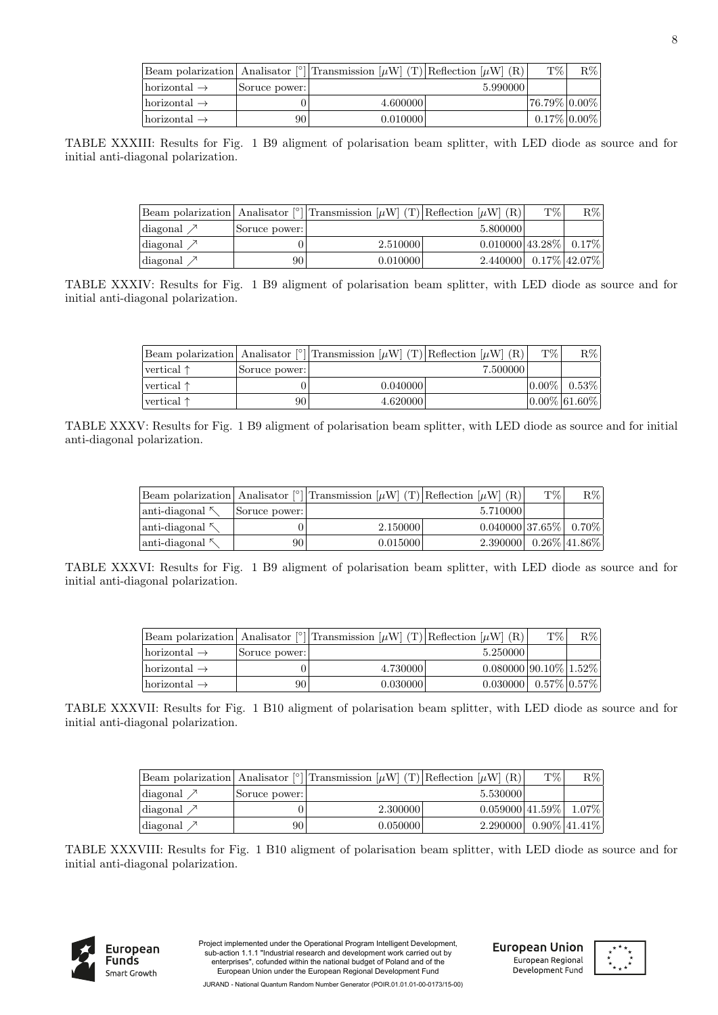|                                 |               | Beam polarization   Analisator [°] Transmission $[\mu W]$ (T) Reflection $[\mu W]$ (R) |          | T\%                | $R\%$ |
|---------------------------------|---------------|----------------------------------------------------------------------------------------|----------|--------------------|-------|
| $\text{horizontal} \rightarrow$ | Soruce power: |                                                                                        | 5.990000 |                    |       |
| $\text{horizontal} \rightarrow$ | O.            | 4.600000                                                                               |          | $ 76.79\% 0.00\% $ |       |
| $\text{horizontal} \rightarrow$ | 90            | 0.010000                                                                               |          | $0.17\% 0.00\% $   |       |

TABLE XXXIII: Results for Fig. 1 B9 aligment of polarisation beam splitter, with LED diode as source and for initial anti-diagonal polarization.

|                                    |               | Beam polarization Analisator <sup>[°</sup> ] Transmission $[\mu W](T)$ Reflection $[\mu W](R)$ |                                          | T\% | $R\%$ |
|------------------------------------|---------------|------------------------------------------------------------------------------------------------|------------------------------------------|-----|-------|
| $\langle \text{diagonal} \rangle$  | Soruce power: |                                                                                                | 5.800000                                 |     |       |
| $\langle \text{diagonal } \rangle$ |               | 2.510000                                                                                       | $0.010000$ 43.28% $\mid 0.17\% \mid$     |     |       |
| $\langle \text{diagonal } \rangle$ | 90            | 0.010000                                                                                       | 2.440000 $\mid 0.17\% \mid 42.07\% \mid$ |     |       |

TABLE XXXIV: Results for Fig. 1 B9 aligment of polarisation beam splitter, with LED diode as source and for initial anti-diagonal polarization.

|                      |               | Beam polarization Analisator $\binom{°}{1}$ Transmission $\mu$ W (T) Reflection $\mu$ W (R) |          | T\%      | $R\%$              |
|----------------------|---------------|---------------------------------------------------------------------------------------------|----------|----------|--------------------|
| $ vertical \uparrow$ | Soruce power: |                                                                                             | 7.500000 |          |                    |
| $ vertical \uparrow$ |               | 0.040000                                                                                    |          | $0.00\%$ | $0.53\%$           |
| $ vertical \uparrow$ | 90            | 4.620000                                                                                    |          |          | $ 0.00\% 61.60\% $ |

TABLE XXXV: Results for Fig. 1 B9 aligment of polarisation beam splitter, with LED diode as source and for initial anti-diagonal polarization.

| Beam polarization Analisator <sup>[°</sup> ] Transmission [ $\mu$ W] (T) Reflection [ $\mu$ W] (R) |               |          |                                          | T\% | $R\%$ |
|----------------------------------------------------------------------------------------------------|---------------|----------|------------------------------------------|-----|-------|
| $\lvert$ anti-diagonal                                                                             | Soruce power: |          | 5.710000                                 |     |       |
| $\lvert$ anti-diagonal $\kappa$                                                                    |               | 2.150000 | $0.040000$ 37.65% $\mid 0.70\% \mid$     |     |       |
| $\lvert$ anti-diagonal $\kappa$                                                                    | 90            | 0.015000 | $2.390000 \mid 0.26\% \mid 41.86\% \mid$ |     |       |

TABLE XXXVI: Results for Fig. 1 B9 aligment of polarisation beam splitter, with LED diode as source and for initial anti-diagonal polarization.

|                           |               | Beam polarization Analisator <sup>[°</sup> ] Transmission [ $\mu$ W] (T) Reflection [ $\mu$ W] (R) |                                                                                                                                                                                                                              | T\% | $R\% $ |
|---------------------------|---------------|----------------------------------------------------------------------------------------------------|------------------------------------------------------------------------------------------------------------------------------------------------------------------------------------------------------------------------------|-----|--------|
| $ horizontal \rightarrow$ | Soruce power: |                                                                                                    | 5.250000                                                                                                                                                                                                                     |     |        |
| $ horizontal \rightarrow$ |               | 4.730000                                                                                           | $0.080000 90.10\% 1.52\% $                                                                                                                                                                                                   |     |        |
| $ horizontal \rightarrow$ | 90            | 0.030000                                                                                           | $0.030000$ 0.57\% 0.57\% 0.57\% 0.57\% 0.57\% 0.57\% 0.57\% 0.57\% 0.57\% 0.57\% 0.57\% 0.57\% 0.57\% 0.57\% 0.57\% 0.57\% 0.57\% 0.57\% 0.57\% 0.57\% 0.57\% 0.57\% 0.57\% 0.57\% 0.57\% 0.57\% 0.57\% 0.57\% 0.57\% 0.57\% |     |        |

TABLE XXXVII: Results for Fig. 1 B10 aligment of polarisation beam splitter, with LED diode as source and for initial anti-diagonal polarization.

|                                    |               | Beam polarization Analisator <sup>[o</sup> ] Transmission $[\mu W](T)$ Reflection $[\mu W](R)$ |                     | T% | $R\%$            |
|------------------------------------|---------------|------------------------------------------------------------------------------------------------|---------------------|----|------------------|
| $\langle \text{diagonal } \rangle$ | Soruce power: |                                                                                                | 5.530000            |    |                  |
| $\langle \text{diagonal } \rangle$ |               | 2.300000                                                                                       | $0.059000 41.59\% $ |    | $1.07\%$         |
| $\langle$ diagonal $\angle$        | 90            | 0.050000                                                                                       | 2.290000            |    | $0.90\%$ 41.41\% |

TABLE XXXVIII: Results for Fig. 1 B10 aligment of polarisation beam splitter, with LED diode as source and for initial anti-diagonal polarization.



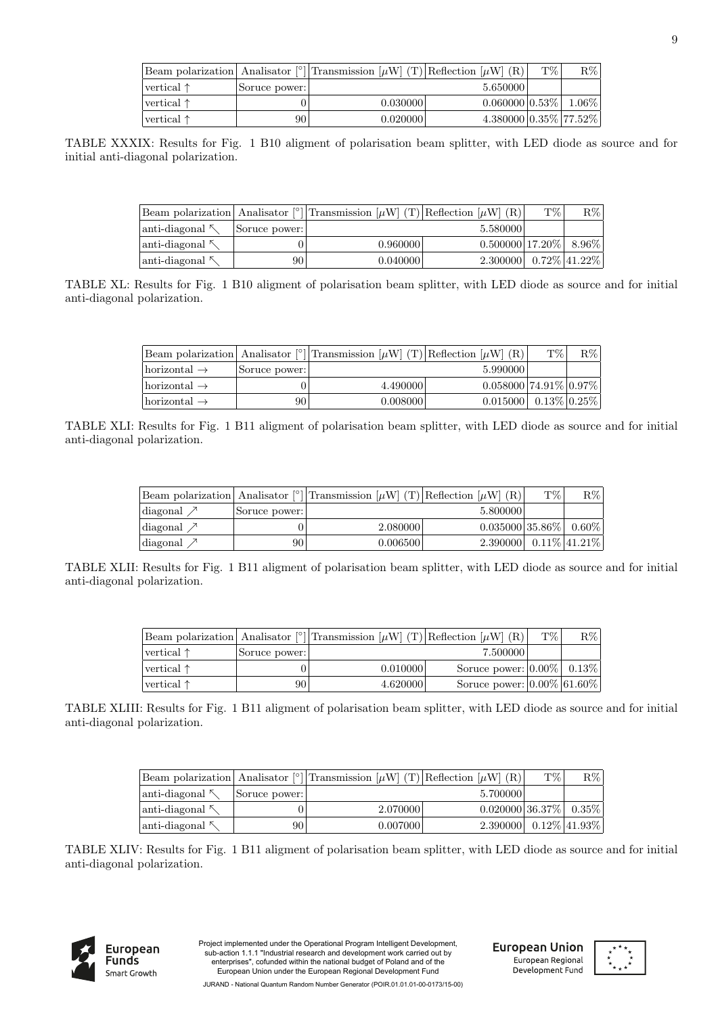|                      |               | Beam polarization Analisator <sup>[°</sup> ] Transmission $[\mu W]$ (T) Reflection $[\mu W]$ (R) |                            | T\% | $R\%$ |
|----------------------|---------------|--------------------------------------------------------------------------------------------------|----------------------------|-----|-------|
| $ vertical \uparrow$ | Soruce power: |                                                                                                  | 5.650000                   |     |       |
| $ vertical \uparrow$ |               | 0.030000                                                                                         | $0.060000 0.53\% 1.06\% $  |     |       |
| $ vertical \uparrow$ | 90            | 0.020000                                                                                         | $4.380000 0.35\% 77.52\% $ |     |       |

TABLE XXXIX: Results for Fig. 1 B10 aligment of polarisation beam splitter, with LED diode as source and for initial anti-diagonal polarization.

|                 |               | Beam polarization Analisator <sup>[°</sup> ] Transmission $[\mu W](T)$ Reflection $[\mu W](R)$ |                                          | T\% | $R\%$ |
|-----------------|---------------|------------------------------------------------------------------------------------------------|------------------------------------------|-----|-------|
| anti-diagonal ⊼ | Soruce power: |                                                                                                | 5.580000                                 |     |       |
| anti-diagonal 시 |               | 0.960000                                                                                       | $0.500000$  17.20%  8.96%                |     |       |
| anti-diagonal   | 90 I          | 0.040000                                                                                       | $2.300000 \mid 0.72\% \mid 41.22\% \mid$ |     |       |

TABLE XL: Results for Fig. 1 B10 aligment of polarisation beam splitter, with LED diode as source and for initial anti-diagonal polarization.

|                           |               | Beam polarization Analisator <sup>[<math>\degree</math></sup> ] Transmission $[\mu$ W (T) Reflection $[\mu$ W (R) |                                   | T\% | $R\%$ |
|---------------------------|---------------|-------------------------------------------------------------------------------------------------------------------|-----------------------------------|-----|-------|
| $ horizontal \rightarrow$ | Soruce power: |                                                                                                                   | 5.990000                          |     |       |
| $ horizontal \rightarrow$ |               | 4.490000                                                                                                          | $0.058000$   $74.91\%$   $0.97\%$ |     |       |
| $ horizontal \rightarrow$ | 90            | 0.008000                                                                                                          | $0.015000$ 0.13\% 0.25\% 0.       |     |       |

TABLE XLI: Results for Fig. 1 B11 aligment of polarisation beam splitter, with LED diode as source and for initial anti-diagonal polarization.

|                                  |               | Beam polarization Analisator [°] Transmission $[\mu W]$ (T) Reflection $[\mu W]$ (R) |                                          | T\% | $R\%$ |
|----------------------------------|---------------|--------------------------------------------------------------------------------------|------------------------------------------|-----|-------|
| $\lvert \text{diagonal} \rangle$ | Soruce power: |                                                                                      | 5.800000                                 |     |       |
| $\lvert \text{diagonal} \rangle$ |               | 2.080000                                                                             | $0.035000 35.86\% 0.60\% $               |     |       |
| $\lvert \text{diagonal} \rangle$ | 90            | 0.006500                                                                             | $2.390000 \mid 0.11\% \mid 41.21\% \mid$ |     |       |

TABLE XLII: Results for Fig. 1 B11 aligment of polarisation beam splitter, with LED diode as source and for initial anti-diagonal polarization.

|                      |               | Beam polarization Analisator <sup>[°</sup> ] Transmission $[\mu W](T)$ Reflection $[\mu W](R)$ |                                  | T\% | $R\%$ |
|----------------------|---------------|------------------------------------------------------------------------------------------------|----------------------------------|-----|-------|
| $ vertical \uparrow$ | Soruce power: |                                                                                                | 7.5000001                        |     |       |
| $ vertical \uparrow$ |               | 0.010000                                                                                       | Soruce power: $ 0.00\% $ 0.13%   |     |       |
| $ vertical \uparrow$ | 90            | 4.620000                                                                                       | Soruce power: $ 0.00\% 61.60\% $ |     |       |

TABLE XLIII: Results for Fig. 1 B11 aligment of polarisation beam splitter, with LED diode as source and for initial anti-diagonal polarization.

|                         |               | Beam polarization Analisator <sup>[°</sup> ] Transmission $[\mu W]$ (T) Reflection $[\mu W]$ (R) |                                          | T\% | $R\%$ |
|-------------------------|---------------|--------------------------------------------------------------------------------------------------|------------------------------------------|-----|-------|
| $\lambda$ anti-diagonal | Source power: |                                                                                                  | 5.700000                                 |     |       |
| $ anti-diagonal \times$ |               | 2.070000                                                                                         | $0.020000 36.37\% 0.35\% $               |     |       |
| $\lambda$ anti-diagonal | 90            | 0.007000                                                                                         | $2.390000 \mid 0.12\% \mid 41.93\% \mid$ |     |       |

TABLE XLIV: Results for Fig. 1 B11 aligment of polarisation beam splitter, with LED diode as source and for initial anti-diagonal polarization.



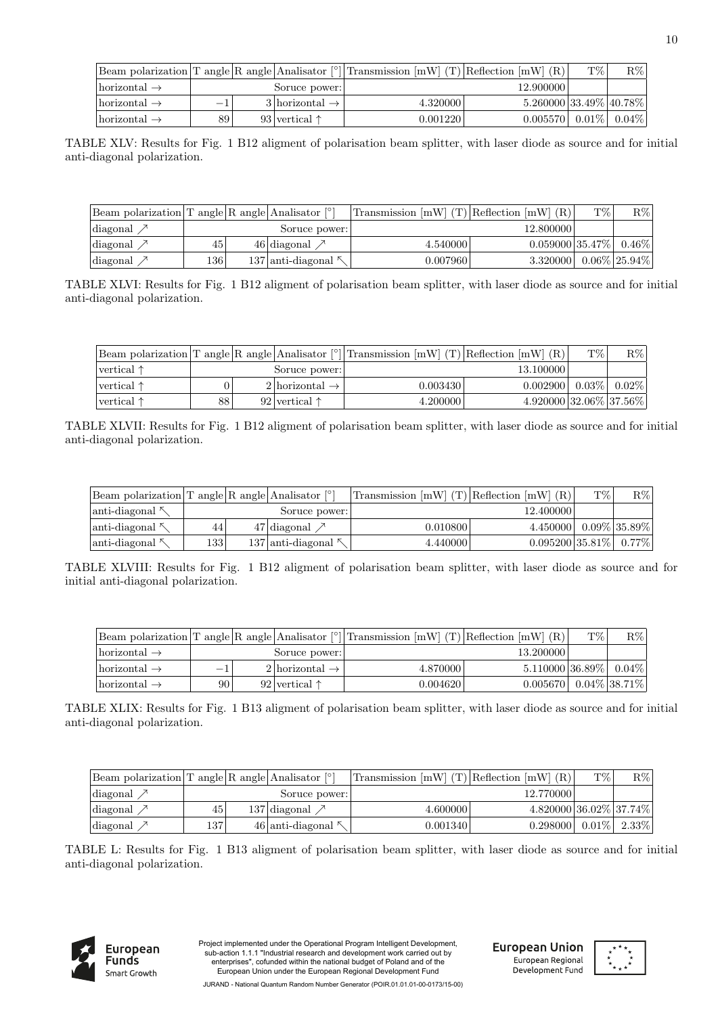|                                 |                          |                                | Beam polarization T angle R angle Analisator <sup>[<math>\degree</math></sup> ] Transmission [mW] (T) Reflection [mW] (R) |                                  | T\% | $R\%$ |
|---------------------------------|--------------------------|--------------------------------|---------------------------------------------------------------------------------------------------------------------------|----------------------------------|-----|-------|
| $\text{horizontal} \rightarrow$ |                          | Soruce power:                  |                                                                                                                           | 12.900000                        |     |       |
| $\text{horizontal} \rightarrow$ | $\overline{\phantom{a}}$ | $3$   horizontal $\rightarrow$ | 4.320000                                                                                                                  | $5.260000 33.49\% 40.78\% $      |     |       |
| $\text{horizontal} \rightarrow$ | 89                       | 93 vertical $\uparrow$         | 0.001220                                                                                                                  | $0.005570$   $0.01\%$   $0.04\%$ |     |       |

TABLE XLV: Results for Fig. 1 B12 aligment of polarisation beam splitter, with laser diode as source and for initial anti-diagonal polarization.

| Beam polarization $T$ angle R angle Analisator $\lceil \cdot \rceil$ |     |                            | Transmission $[mW]$ (T) Reflection $[mW]$ (R) |                           | T\% | $\rm R\%$        |
|----------------------------------------------------------------------|-----|----------------------------|-----------------------------------------------|---------------------------|-----|------------------|
| diagonal $\nearrow$                                                  |     | Soruce power:              |                                               | 12.800000                 |     |                  |
| diagonal $\nearrow$                                                  | 45  | 46 diagonal $\nearrow$     | 4.540000                                      | $0.059000 35.47\% 0.46\%$ |     |                  |
| diagonal $\nearrow$                                                  | 136 | $137$ anti-diagonal $\sim$ | 0.007960                                      | 3.320000                  |     | $0.06\%$ 25.94\% |

TABLE XLVI: Results for Fig. 1 B12 aligment of polarisation beam splitter, with laser diode as source and for initial anti-diagonal polarization.

|                      |    |                               | Beam polarization T angle R angle Analisator $\lceil \cdot \rceil$ Transmission [mW] (T) Reflection [mW] (R) |                             | T\%      | $R\%$    |
|----------------------|----|-------------------------------|--------------------------------------------------------------------------------------------------------------|-----------------------------|----------|----------|
| $ vertical \uparrow$ |    | Soruce power:                 |                                                                                                              | 13.100000                   |          |          |
| $ vertical \uparrow$ |    | $2$  horizontal $\rightarrow$ | 0.003430                                                                                                     | 0.002900                    | $0.03\%$ | $0.02\%$ |
| $ vertical \uparrow$ | 88 | 92 vertical $\uparrow$        | 4.200000                                                                                                     | $4.920000 32.06\% 37.56\% $ |          |          |

TABLE XLVII: Results for Fig. 1 B12 aligment of polarisation beam splitter, with laser diode as source and for initial anti-diagonal polarization.

| $\lvert$ Beam polarization T angle R angle Analisator $\lvert \cdot \rvert$ |      |                            | Transmission $[mW]$ (T) Reflection $[mW]$ (R) |                            | T\% | $R\%$           |
|-----------------------------------------------------------------------------|------|----------------------------|-----------------------------------------------|----------------------------|-----|-----------------|
| $\lvert$ anti-diagonal $\kappa$                                             |      | Soruce power:              |                                               | 12.400000                  |     |                 |
| $\lvert$ anti-diagonal                                                      | 44   | 47 diagonal $\nearrow$     | 0.010800                                      | 4.450000                   |     | $0.09\%$ 35.89% |
| $\lambda$ anti-diagonal $\lambda$                                           | 1331 | $137$ anti-diagonal $\sim$ | 4.440000                                      | $0.095200 35.81\% 0.77\% $ |     |                 |

TABLE XLVIII: Results for Fig. 1 B12 aligment of polarisation beam splitter, with laser diode as source and for initial anti-diagonal polarization.

|                           |    |                               | Beam polarization T angle R angle Analisator $\lceil \cdot \rceil$ Transmission [mW] (T) Reflection [mW] (R) |                     | T\% | $R\%$            |
|---------------------------|----|-------------------------------|--------------------------------------------------------------------------------------------------------------|---------------------|-----|------------------|
| $ horizontal \rightarrow$ |    | Soruce power:                 |                                                                                                              | 13.200000           |     |                  |
| $ horizontal \rightarrow$ |    | $2$  horizontal $\rightarrow$ | 4.870000                                                                                                     | $5.110000 36.89\% $ |     | $0.04\%$         |
| $ horizontal \rightarrow$ | 90 | 92 vertical $\uparrow$        | 0.0046201                                                                                                    | 0.005670            |     | $0.04\%$ 38.71\% |

TABLE XLIX: Results for Fig. 1 B13 aligment of polarisation beam splitter, with laser diode as source and for initial anti-diagonal polarization.

| Beam polarization $T$ angle R angle Analisator $\lceil \cdot \rceil$ |          |                           | Transmission $[mW]$ (T) Reflection $[mW]$ (R) |                             | T\%      | $R\%$    |
|----------------------------------------------------------------------|----------|---------------------------|-----------------------------------------------|-----------------------------|----------|----------|
| diagonal $\nearrow$                                                  |          | Soruce power:             |                                               | 12.770000                   |          |          |
| diagonal $\nearrow$                                                  | 45       | 137 diagonal $\nearrow$   | 4.600000                                      | $4.820000 36.02\% 37.74\% $ |          |          |
| diagonal $\nearrow$                                                  | $^{137}$ | $46$ anti-diagonal $\sim$ | 0.001340                                      | 0.298000                    | $0.01\%$ | $2.33\%$ |

TABLE L: Results for Fig. 1 B13 aligment of polarisation beam splitter, with laser diode as source and for initial anti-diagonal polarization.



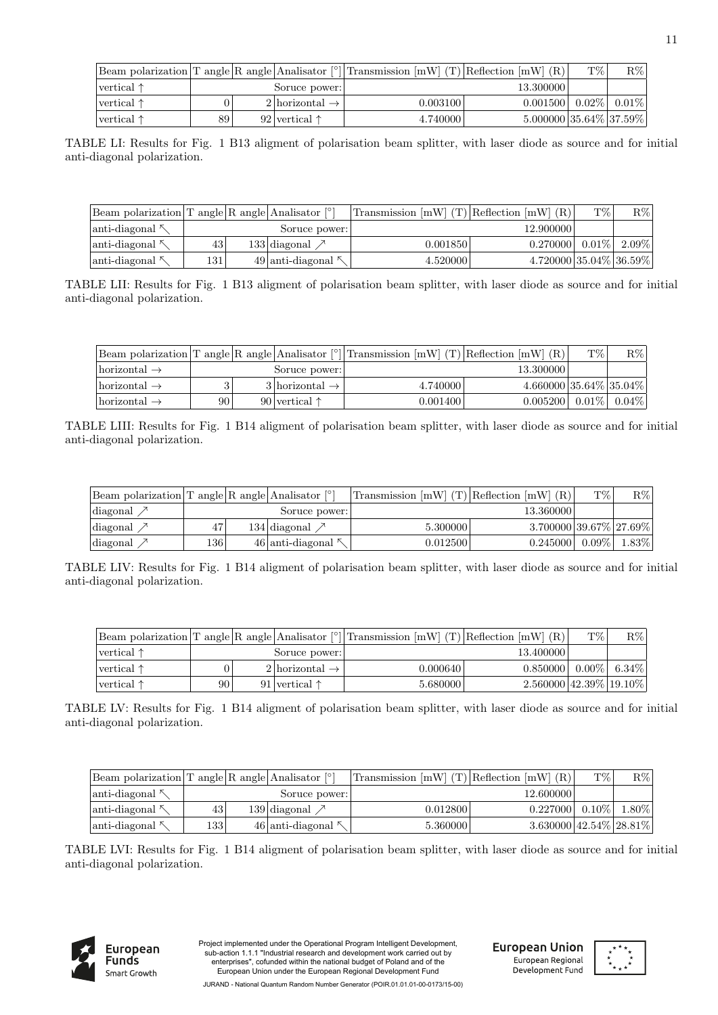|                     |    |                               | Beam polarization T angle R angle Analisator $\lceil \cdot \rceil$ Transmission [mW] (T) Reflection [mW] (R) |                                           | T\% | $R\%$               |
|---------------------|----|-------------------------------|--------------------------------------------------------------------------------------------------------------|-------------------------------------------|-----|---------------------|
| vertical $\uparrow$ |    | Soruce power:                 |                                                                                                              | 13.300000                                 |     |                     |
| vertical $\uparrow$ |    | $2$  horizontal $\rightarrow$ | 0.003100                                                                                                     | 0.001500                                  |     | $0.02\%$   $0.01\%$ |
| vertical $\uparrow$ | 89 | 92 vertical $\uparrow$        | 4.740000                                                                                                     | $5.000000 \mid 35.64\% \mid 37.59\% \mid$ |     |                     |

TABLE LI: Results for Fig. 1 B13 aligment of polarisation beam splitter, with laser diode as source and for initial anti-diagonal polarization.

| Beam polarization $T$ angle R angle Analisator $\lceil \circ \rceil$ |     |                         | Transmission $[mW]$ (T) Reflection $[mW]$ (R) |                             | $T\%$    | $\rm R\%$ |
|----------------------------------------------------------------------|-----|-------------------------|-----------------------------------------------|-----------------------------|----------|-----------|
| $\lvert$ anti-diagonal $\kappa$                                      |     | Soruce power:           |                                               | 12.900000                   |          |           |
| $\lvert$ anti-diagonal $\sim$                                        | 43  | $133$ diagonal          | 0.001850                                      | 0.270000                    | $0.01\%$ | 2.09%     |
| $\lvert$ anti-diagonal $\kappa$                                      | 131 | 49 anti-diagonal $\sim$ | 4.520000                                      | $4.720000 35.04\% 36.59\% $ |          |           |

TABLE LII: Results for Fig. 1 B13 aligment of polarisation beam splitter, with laser diode as source and for initial anti-diagonal polarization.

|                                 |    |                               | Beam polarization T angle R angle Analisator $\lceil \cdot \rceil$ Transmission [mW] (T) Reflection [mW] (R) |                                  | T\% | $R\%$ |
|---------------------------------|----|-------------------------------|--------------------------------------------------------------------------------------------------------------|----------------------------------|-----|-------|
| $\text{horizontal} \rightarrow$ |    | Soruce power:                 |                                                                                                              | 13.300000                        |     |       |
| $ horizontal \rightarrow$       |    | $3$  horizontal $\rightarrow$ | 4.740000                                                                                                     | $4.660000 35.64\% 35.04\% $      |     |       |
| $ horizontal \rightarrow$       | 90 | 90 vertical $\uparrow$        | 0.001400                                                                                                     | $0.005200$   $0.01\%$   $0.04\%$ |     |       |

TABLE LIII: Results for Fig. 1 B14 aligment of polarisation beam splitter, with laser diode as source and for initial anti-diagonal polarization.

| $\lvert$ Beam polarization T angle R angle Analisator $\lvert \cdot \rvert$ |      |                           | Transmission $[mW]$ (T) Reflection $[mW]$ (R) |                             | T\%      | $R\%$    |
|-----------------------------------------------------------------------------|------|---------------------------|-----------------------------------------------|-----------------------------|----------|----------|
| diagonal $\nearrow$                                                         |      | Soruce power:             |                                               | 13.360000                   |          |          |
| diagonal                                                                    |      | 134 diagonal $\nearrow$   | 5.300000                                      | $3.700000 39.67\% 27.69\% $ |          |          |
| diagonal                                                                    | 1361 | $46$ anti-diagonal $\sim$ | 0.012500                                      | 0.245000                    | $0.09\%$ | $1.83\%$ |

TABLE LIV: Results for Fig. 1 B14 aligment of polarisation beam splitter, with laser diode as source and for initial anti-diagonal polarization.

|                         |    |                               | Beam polarization T angle R angle Analisator [°] Transmission [mW] (T) Reflection [mW] (R) |                                    | T\%        | $R\%$    |
|-------------------------|----|-------------------------------|--------------------------------------------------------------------------------------------|------------------------------------|------------|----------|
| $ vertical \uparrow$    |    | Soruce power:                 |                                                                                            | 13.400000                          |            |          |
| $ $ vertical $\uparrow$ |    | $2$  horizontal $\rightarrow$ | 0.000640                                                                                   | 0.850000                           | $0.00\%$ 1 | $6.34\%$ |
| $ vertical \uparrow$    | 90 | 91 vertical $\uparrow$        | 5.680000                                                                                   | $2.560000$   $42.39\%$   $19.10\%$ |            |          |

TABLE LV: Results for Fig. 1 B14 aligment of polarisation beam splitter, with laser diode as source and for initial anti-diagonal polarization.

| Beam polarization T angle R angle Analisator $\lceil \cdot \rceil$ |     |                           | Transmission $[mW]$ (T) Reflection $[mW]$ (R) |                                           | T\%      | $R\%$    |
|--------------------------------------------------------------------|-----|---------------------------|-----------------------------------------------|-------------------------------------------|----------|----------|
| $\lvert$ anti-diagonal $\kappa$                                    |     | Soruce power:             |                                               | 12.600000                                 |          |          |
| $\lambda$ anti-diagonal                                            | 43  | 139 diagonal $\nearrow$   | 0.012800                                      | 0.227000                                  | $0.10\%$ | $1.80\%$ |
| $\lambda$ anti-diagonal                                            | 133 | $46$ anti-diagonal $\sim$ | 5.360000                                      | $3.630000 \mid 42.54\% \mid 28.81\% \mid$ |          |          |

TABLE LVI: Results for Fig. 1 B14 aligment of polarisation beam splitter, with laser diode as source and for initial anti-diagonal polarization.



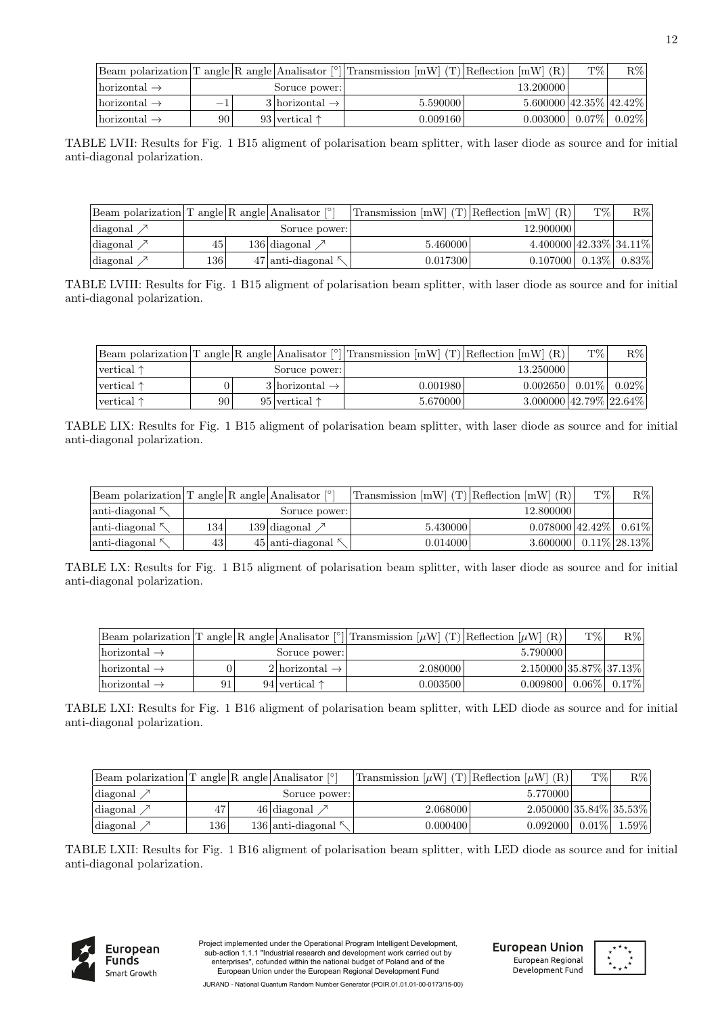|                                 |                          |                               | Beam polarization T angle R angle Analisator $\lceil \cdot \rceil$ Transmission [mW] (T) Reflection [mW] (R) |                            | T\% | $R\%$           |
|---------------------------------|--------------------------|-------------------------------|--------------------------------------------------------------------------------------------------------------|----------------------------|-----|-----------------|
| $\text{horizontal} \rightarrow$ |                          | Soruce power:                 |                                                                                                              | 13.200000                  |     |                 |
| $\text{horizontal} \rightarrow$ | $\overline{\phantom{m}}$ | $3$  horizontal $\rightarrow$ | 5.590000                                                                                                     | $5.600000\,42.35\%$ 42.42% |     |                 |
| $\text{horizontal} \rightarrow$ | 90                       | 93 vertical $\uparrow$        | 0.009160                                                                                                     | 0.003000                   |     | $0.07\%$ 0.02\% |

TABLE LVII: Results for Fig. 1 B15 aligment of polarisation beam splitter, with laser diode as source and for initial anti-diagonal polarization.

| Beam polarization $T$ angle R angle Analisator $\lceil \circ \rceil$ |     |                           | Transmission $[mW]$ (T) Reflection $[mW]$ (R) |                                    | T\%          | $\rm R\%$ |
|----------------------------------------------------------------------|-----|---------------------------|-----------------------------------------------|------------------------------------|--------------|-----------|
| diagonal $\nearrow$                                                  |     | Soruce power:             |                                               | 12.900000                          |              |           |
| diagonal $\nearrow$                                                  | 45  | 136 diagonal $\nearrow$   | 5.460000                                      | $4.400000$   $42.33\%$   $34.11\%$ |              |           |
| diagonal $\nearrow$                                                  | 136 | $47$ anti-diagonal $\sim$ | 0.017300                                      | 0.107000                           | $\pm 0.13\%$ | $0.83\%$  |

TABLE LVIII: Results for Fig. 1 B15 aligment of polarisation beam splitter, with laser diode as source and for initial anti-diagonal polarization.

|                      |    |                               | Beam polarization T angle R angle Analisator $\lceil \cdot \rceil$ Transmission [mW] (T) Reflection [mW] (R) |                                           | $T\%$ | $R\%$               |
|----------------------|----|-------------------------------|--------------------------------------------------------------------------------------------------------------|-------------------------------------------|-------|---------------------|
| $ vertical \uparrow$ |    | Soruce power:                 |                                                                                                              | 13.250000                                 |       |                     |
| $ vertical \uparrow$ |    | $3$  horizontal $\rightarrow$ | 0.001980                                                                                                     | 0.002650                                  |       | $0.01\%$   $0.02\%$ |
| $ vertical \uparrow$ | 90 | 95 vertical $\uparrow$        | 5.670000                                                                                                     | $3.000000 \mid 42.79\% \mid 22.64\% \mid$ |       |                     |

TABLE LIX: Results for Fig. 1 B15 aligment of polarisation beam splitter, with laser diode as source and for initial anti-diagonal polarization.

| Beam polarization $T$ angle R angle Analisator $\lceil \cdot \rceil$ |     |                         | Transmission $[mW]$ (T) Reflection $[mW]$ (R) |                                      | T\% | $R\%$            |
|----------------------------------------------------------------------|-----|-------------------------|-----------------------------------------------|--------------------------------------|-----|------------------|
| $\lambda$ anti-diagonal                                              |     | Soruce power:           |                                               | 12.800000                            |     |                  |
| $\lvert$ anti-diagonal                                               | 134 | 139 diagonal $\nearrow$ | 5.430000                                      | $0.078000$ 42.42% $\mid 0.61\% \mid$ |     |                  |
| $\lambda$ anti-diagonal                                              | 43  | $45$  anti-diagonal     | 0.014000                                      | 3.600000                             |     | $0.11\%$ 28.13\% |

TABLE LX: Results for Fig. 1 B15 aligment of polarisation beam splitter, with laser diode as source and for initial anti-diagonal polarization.

|                           |    |                               | Beam polarization T angle R angle Analisator <sup>[°</sup> ] Transmission $[\mu W]$ (T) Reflection $[\mu W]$ (R) |                          | T\% | $R\%$           |
|---------------------------|----|-------------------------------|------------------------------------------------------------------------------------------------------------------|--------------------------|-----|-----------------|
| $ horizontal \rightarrow$ |    | Soruce power:                 |                                                                                                                  | 5.790000                 |     |                 |
| $ horizontal \rightarrow$ |    | $2$  horizontal $\rightarrow$ | 2.080000                                                                                                         | $2.150000$ 35.87% 37.13% |     |                 |
| $ horizontal \rightarrow$ | 91 | 94 vertical $\uparrow$        | 0.003500                                                                                                         | 0.009800                 |     | $0.06\%$ 0.17\% |

TABLE LXI: Results for Fig. 1 B16 aligment of polarisation beam splitter, with LED diode as source and for initial anti-diagonal polarization.

| Beam polarization T angle R angle Analisator $\lceil \cdot \rceil$ |     |                                   | Transmission $[\mu W]$ (T) Reflection $[\mu W]$ (R) |                             | T\%      | $R\%$ |
|--------------------------------------------------------------------|-----|-----------------------------------|-----------------------------------------------------|-----------------------------|----------|-------|
| diagonal $\nearrow$                                                |     | Soruce power:                     |                                                     | 5.770000                    |          |       |
| $\lvert \text{diagonal} \rangle$                                   | 47  | $46$ diagonal                     | 2.068000                                            | $2.050000 35.84\% 35.53\% $ |          |       |
| $\langle \text{diagonal } \nearrow$                                | 136 | $136$ anti-diagonal $\frac{8}{3}$ | 0.000400                                            | 0.092000                    | $0.01\%$ | 1.59% |

TABLE LXII: Results for Fig. 1 B16 aligment of polarisation beam splitter, with LED diode as source and for initial anti-diagonal polarization.



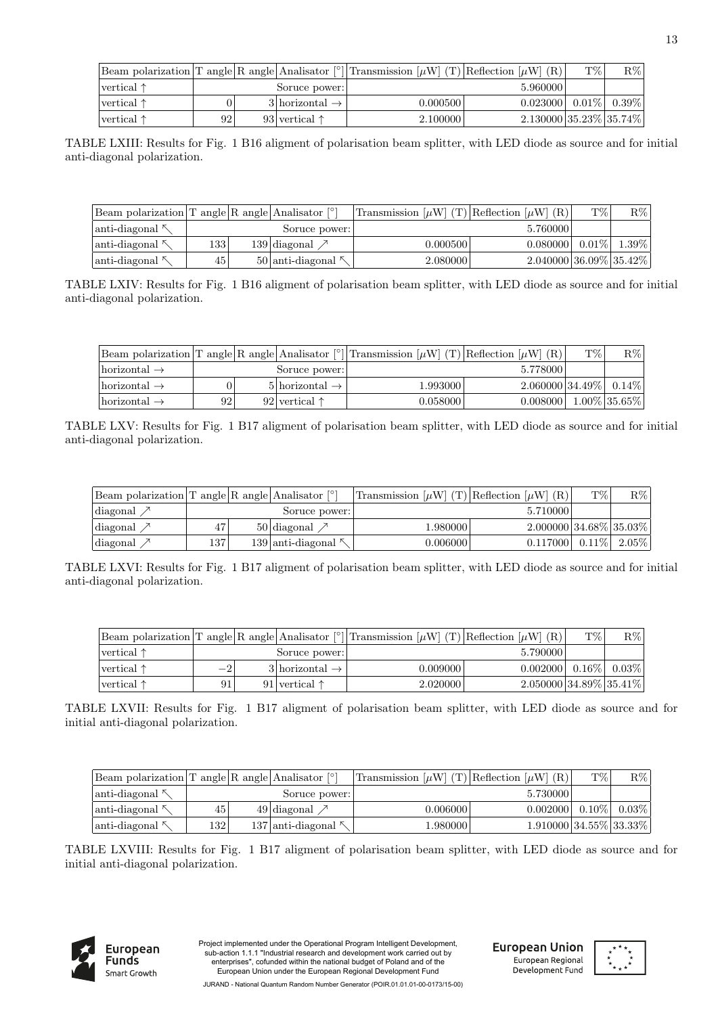|                             |     |                               | Beam polarization T angle R angle Analisator <sup>[°</sup> ] Transmission $[\mu W]$ (T) Reflection $[\mu W]$ (R) |                              | T% | $R\%$ |
|-----------------------------|-----|-------------------------------|------------------------------------------------------------------------------------------------------------------|------------------------------|----|-------|
| $\vert$ vertical $\uparrow$ |     | Soruce power:                 |                                                                                                                  | 5.960000                     |    |       |
| vertical $\uparrow$         |     | $3$  horizontal $\rightarrow$ | 0.000500                                                                                                         | $0.023000$ $0.01\%$ $0.39\%$ |    |       |
| $\vert$ vertical $\uparrow$ | 921 | 93 vertical $\uparrow$        | 2.100000                                                                                                         | $2.130000 35.23\% 35.74\% $  |    |       |

TABLE LXIII: Results for Fig. 1 B16 aligment of polarisation beam splitter, with LED diode as source and for initial anti-diagonal polarization.

| Beam polarization T angle R angle Analisator $\lceil \circ \rceil$ |                 |                            | Transmission $[\mu W]$ (T) Reflection $[\mu W]$ (R) |                            | T\%      | $R\%$    |
|--------------------------------------------------------------------|-----------------|----------------------------|-----------------------------------------------------|----------------------------|----------|----------|
| $\lvert$ anti-diagonal $\kappa$                                    |                 | Soruce power:              |                                                     | 5.760000                   |          |          |
| $\lvert$ anti-diagonal $\kappa$                                    | 133             | $139$ diagonal             | $0.000500$ $\mid$                                   | 0.080000                   | $0.01\%$ | $1.39\%$ |
| $\lvert$ anti-diagonal $\kappa$                                    | 45 <sup>1</sup> | $50$  anti-diagonal $\sim$ | 2.080000                                            | $2.040000 36.09\% 35.42\%$ |          |          |

TABLE LXIV: Results for Fig. 1 B16 aligment of polarisation beam splitter, with LED diode as source and for initial anti-diagonal polarization.

|                                 |    |                               | Beam polarization T angle R angle Analisator $\lceil \cdot \rceil$ Transmission $\lceil \mu W \rceil$ (T) Reflection $\lceil \mu W \rceil$ (R) |                            | T\% | $R\%$           |
|---------------------------------|----|-------------------------------|------------------------------------------------------------------------------------------------------------------------------------------------|----------------------------|-----|-----------------|
| $\text{horizontal} \rightarrow$ |    | Soruce power:                 |                                                                                                                                                | 5.778000                   |     |                 |
| $\text{horizontal} \rightarrow$ |    | $5$  horizontal $\rightarrow$ | 1.9930001                                                                                                                                      | $2.060000 34.49\% 0.14\% $ |     |                 |
| $\text{horizontal} \rightarrow$ | 92 | 92 vertical $\uparrow$        | 0.058000                                                                                                                                       | 0.008000                   |     | $1.00\%$ 35.65% |

TABLE LXV: Results for Fig. 1 B17 aligment of polarisation beam splitter, with LED diode as source and for initial anti-diagonal polarization.

| Beam polarization T angle R angle Analisator $\lceil \cdot \rceil$ |     |                          | Transmission $[\mu W]$ (T) Reflection $[\mu W]$ (R) |                              | T% | $R\%$ |
|--------------------------------------------------------------------|-----|--------------------------|-----------------------------------------------------|------------------------------|----|-------|
| diagonal $\nearrow$                                                |     | Soruce power:            |                                                     | 5.710000                     |    |       |
| diagonal $\nearrow$                                                | 47  | $50$ diagonal $\nearrow$ | 1.980000                                            | $2.000000 34.68\% 35.03\% $  |    |       |
| diagonal                                                           | 137 | $139$  anti-diagonal     | 0.006000                                            | $0.117000$ $0.11\%$ $2.05\%$ |    |       |

TABLE LXVI: Results for Fig. 1 B17 aligment of polarisation beam splitter, with LED diode as source and for initial anti-diagonal polarization.

|                             |                          |                               | Beam polarization T angle R angle Analisator $\binom{8}{1}$ Transmission $[\mu W]$ (T) Reflection $[\mu W]$ (R) |                            | T\% | $R\%$    |
|-----------------------------|--------------------------|-------------------------------|-----------------------------------------------------------------------------------------------------------------|----------------------------|-----|----------|
| $\vert$ vertical $\uparrow$ |                          | Soruce power:                 |                                                                                                                 | 5.790000                   |     |          |
| $vertical \uparrow$         | $\overline{\phantom{a}}$ | $3$  horizontal $\rightarrow$ | 0.009000                                                                                                        | $0.002000$ 0.16\%          |     | $0.03\%$ |
| $\vert$ vertical $\uparrow$ | 91                       | 91 vertical $\uparrow$        | 2.020000                                                                                                        | $2.050000 34.89\% 35.41\%$ |     |          |

TABLE LXVII: Results for Fig. 1 B17 aligment of polarisation beam splitter, with LED diode as source and for initial anti-diagonal polarization.

| Beam polarization $T$ angle $R$ angle Analisator $\lceil \circ \rceil$ |      |                            | Transmission $[\mu W]$ (T) Reflection $[\mu W]$ (R) |                                           | T%       | $R\%$    |
|------------------------------------------------------------------------|------|----------------------------|-----------------------------------------------------|-------------------------------------------|----------|----------|
| $\lambda$ anti-diagonal                                                |      | Soruce power:              |                                                     | 5.730000                                  |          |          |
| anti-diagonal 시                                                        | 45   | $49$ diagonal              | $0.006000$ $\mid$                                   | 0.002000                                  | $0.10\%$ | $0.03\%$ |
| $\lambda$ anti-diagonal                                                | 1321 | $137$ anti-diagonal $\sim$ | 1.980000                                            | $1.910000 \mid 34.55\% \mid 33.33\% \mid$ |          |          |

TABLE LXVIII: Results for Fig. 1 B17 aligment of polarisation beam splitter, with LED diode as source and for initial anti-diagonal polarization.